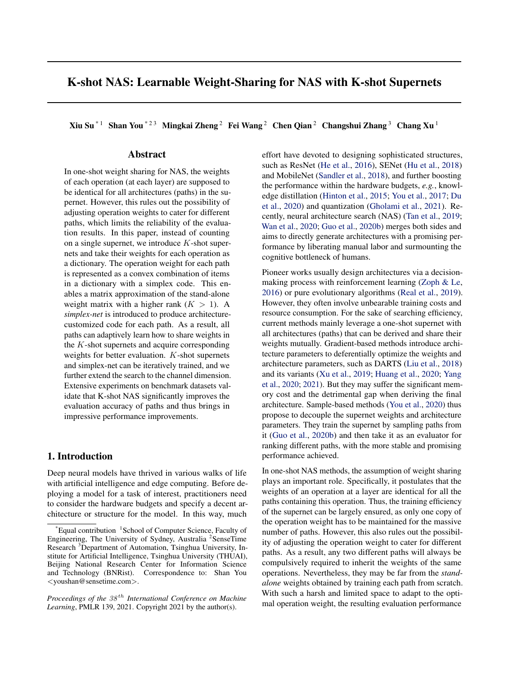# K-shot NAS: Learnable Weight-Sharing for NAS with K-shot Supernets

Xiu Su<sup>\* 1</sup> Shan You <sup>\* 2 3</sup> Mingkai Zheng <sup>2</sup> Fei Wang <sup>2</sup> Chen Qian <sup>2</sup> Changshui Zhang <sup>3</sup> Chang Xu<sup>1</sup>

### Abstract

In one-shot weight sharing for NAS, the weights of each operation (at each layer) are supposed to be identical for all architectures (paths) in the supernet. However, this rules out the possibility of adjusting operation weights to cater for different paths, which limits the reliability of the evaluation results. In this paper, instead of counting on a single supernet, we introduce  $K$ -shot supernets and take their weights for each operation as a dictionary. The operation weight for each path is represented as a convex combination of items in a dictionary with a simplex code. This enables a matrix approximation of the stand-alone weight matrix with a higher rank  $(K > 1)$ . A *simplex-net* is introduced to produce architecturecustomized code for each path. As a result, all paths can adaptively learn how to share weights in the K-shot supernets and acquire corresponding weights for better evaluation.  $K$ -shot supernets and simplex-net can be iteratively trained, and we further extend the search to the channel dimension. Extensive experiments on benchmark datasets validate that K-shot NAS significantly improves the evaluation accuracy of paths and thus brings in impressive performance improvements.

### 1. Introduction

Deep neural models have thrived in various walks of life with artificial intelligence and edge computing. Before deploying a model for a task of interest, practitioners need to consider the hardware budgets and specify a decent architecture or structure for the model. In this way, much

effort have devoted to designing sophisticated structures, such as ResNet [\(He et al.,](#page-9-0) [2016\)](#page-9-0), SENet [\(Hu et al.,](#page-9-0) [2018\)](#page-9-0) and MobileNet [\(Sandler et al.,](#page-10-0) [2018\)](#page-10-0), and further boosting the performance within the hardware budgets, *e.g.*, knowledge distillation [\(Hinton et al.,](#page-9-0) [2015;](#page-9-0) [You et al.,](#page-10-0) [2017;](#page-10-0) [Du](#page-9-0) [et al.,](#page-9-0) [2020\)](#page-9-0) and quantization [\(Gholami et al.,](#page-9-0) [2021\)](#page-9-0). Recently, neural architecture search (NAS) [\(Tan et al.,](#page-10-0) [2019;](#page-10-0) [Wan et al.,](#page-10-0) [2020;](#page-10-0) [Guo et al.,](#page-9-0) [2020b\)](#page-9-0) merges both sides and aims to directly generate architectures with a promising performance by liberating manual labor and surmounting the cognitive bottleneck of humans.

Pioneer works usually design architectures via a decisionmaking process with reinforcement learning [\(Zoph & Le,](#page-10-0) [2016\)](#page-10-0) or pure evolutionary algorithms [\(Real et al.,](#page-10-0) [2019\)](#page-10-0). However, they often involve unbearable training costs and resource consumption. For the sake of searching efficiency, current methods mainly leverage a one-shot supernet with all architectures (paths) that can be derived and share their weights mutually. Gradient-based methods introduce architecture parameters to deferentially optimize the weights and architecture parameters, such as DARTS [\(Liu et al.,](#page-9-0) [2018\)](#page-9-0) and its variants [\(Xu et al.,](#page-10-0) [2019;](#page-10-0) [Huang et al.,](#page-9-0) [2020;](#page-9-0) [Yang](#page-10-0) [et al.,](#page-10-0) [2020;](#page-10-0) [2021\)](#page-10-0). But they may suffer the significant memory cost and the detrimental gap when deriving the final architecture. Sample-based methods [\(You et al.,](#page-10-0) [2020\)](#page-10-0) thus propose to decouple the supernet weights and architecture parameters. They train the supernet by sampling paths from it [\(Guo et al.,](#page-9-0) [2020b\)](#page-9-0) and then take it as an evaluator for ranking different paths, with the more stable and promising performance achieved.

In one-shot NAS methods, the assumption of weight sharing plays an important role. Specifically, it postulates that the weights of an operation at a layer are identical for all the paths containing this operation. Thus, the training efficiency of the supernet can be largely ensured, as only one copy of the operation weight has to be maintained for the massive number of paths. However, this also rules out the possibility of adjusting the operation weight to cater for different paths. As a result, any two different paths will always be compulsively required to inherit the weights of the same operations. Nevertheless, they may be far from the *standalone* weights obtained by training each path from scratch. With such a harsh and limited space to adapt to the optimal operation weight, the resulting evaluation performance

<sup>&</sup>lt;sup>\*</sup>Equal contribution <sup>1</sup>School of Computer Science, Faculty of Engineering, The University of Sydney, Australia<sup>2</sup> SenseTime Research <sup>3</sup>Department of Automation, Tsinghua University, Institute for Artificial Intelligence, Tsinghua University (THUAI), Beijing National Research Center for Information Science and Technology (BNRist). Correspondence to: Shan You <youshan@sensetime.com>.

*Proceedings of the*  $38<sup>th</sup>$  *International Conference on Machine Learning*, PMLR 139, 2021. Copyright 2021 by the author(s).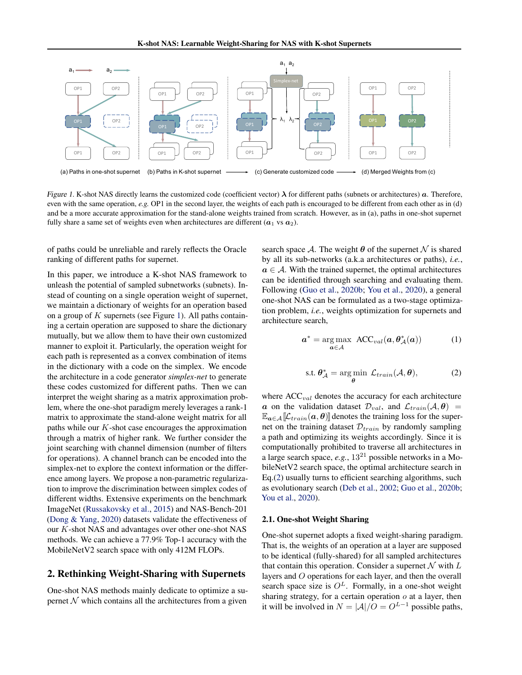

Figure 1. K-shot NAS directly learns the customized code (coefficient vector)  $\lambda$  for different paths (subnets or architectures)  $\alpha$ . Therefore, even with the same operation, *e.g.* OP1 in the second layer, the weights of each path is encouraged to be different from each other as in (d) and be a more accurate approximation for the stand-alone weights trained from scratch. However, as in (a), paths in one-shot supernet fully share a same set of weights even when architectures are different  $(a_1 \text{ vs } a_2)$ .

of paths could be unreliable and rarely reflects the Oracle ranking of different paths for supernet.

In this paper, we introduce a K-shot NAS framework to unleash the potential of sampled subnetworks (subnets). Instead of counting on a single operation weight of supernet, we maintain a dictionary of weights for an operation based on a group of  $K$  supernets (see Figure 1). All paths containing a certain operation are supposed to share the dictionary mutually, but we allow them to have their own customized manner to exploit it. Particularly, the operation weight for each path is represented as a convex combination of items in the dictionary with a code on the simplex. We encode the architecture in a code generator *simplex-net* to generate these codes customized for different paths. Then we can interpret the weight sharing as a matrix approximation problem, where the one-shot paradigm merely leverages a rank-1 matrix to approximate the stand-alone weight matrix for all paths while our  $K$ -shot case encourages the approximation through a matrix of higher rank. We further consider the joint searching with channel dimension (number of filters for operations). A channel branch can be encoded into the simplex-net to explore the context information or the difference among layers. We propose a non-parametric regularization to improve the discrimination between simplex codes of different widths. Extensive experiments on the benchmark ImageNet [\(Russakovsky et al.,](#page-10-0) [2015\)](#page-10-0) and NAS-Bench-201 [\(Dong & Yang,](#page-9-0) [2020\)](#page-9-0) datasets validate the effectiveness of our K-shot NAS and advantages over other one-shot NAS methods. We can achieve a 77.9% Top-1 accuracy with the MobileNetV2 search space with only 412M FLOPs.

### 2. Rethinking Weight-Sharing with Supernets

One-shot NAS methods mainly dedicate to optimize a supernet  $N$  which contains all the architectures from a given

search space A. The weight  $\theta$  of the supernet N is shared by all its sub-networks (a.k.a architectures or paths), *i.e.*,  $a \in A$ . With the trained supernet, the optimal architectures can be identified through searching and evaluating them. Following [\(Guo et al.,](#page-9-0) [2020b;](#page-9-0) [You et al.,](#page-10-0) [2020\)](#page-10-0), a general one-shot NAS can be formulated as a two-stage optimization problem, *i.e.*, weights optimization for supernets and architecture search,

$$
\boldsymbol{a}^* = \underset{\boldsymbol{a} \in \mathcal{A}}{\arg \max} \ \text{ACC}_{val}(\boldsymbol{a}, \boldsymbol{\theta}_{\mathcal{A}}^*(\boldsymbol{a})) \tag{1}
$$

$$
\text{s.t. } \theta_{\mathcal{A}}^* = \underset{\theta}{\text{arg min }} \mathcal{L}_{train}(\mathcal{A}, \theta), \tag{2}
$$

where  $ACC_{val}$  denotes the accuracy for each architecture a on the validation dataset  $\mathcal{D}_{val}$ , and  $\mathcal{L}_{train}(\mathcal{A}, \theta)$  $\mathbb{E}_{a \in \mathcal{A}}[\mathcal{L}_{train}(a, \theta)]$  denotes the training loss for the supernet on the training dataset  $\mathcal{D}_{train}$  by randomly sampling a path and optimizing its weights accordingly. Since it is computationally prohibited to traverse all architectures in a large search space, *e.g.*, 13<sup>21</sup> possible networks in a MobileNetV2 search space, the optimal architecture search in Eq.(2) usually turns to efficient searching algorithms, such as evolutionary search [\(Deb et al.,](#page-9-0) [2002;](#page-9-0) [Guo et al.,](#page-9-0) [2020b;](#page-9-0) [You et al.,](#page-10-0) [2020\)](#page-10-0).

#### 2.1. One-shot Weight Sharing

One-shot supernet adopts a fixed weight-sharing paradigm. That is, the weights of an operation at a layer are supposed to be identical (fully-shared) for all sampled architectures that contain this operation. Consider a supernet  $N$  with  $L$ layers and O operations for each layer, and then the overall search space size is  $O^L$ . Formally, in a one-shot weight sharing strategy, for a certain operation  $\sigma$  at a layer, then it will be involved in  $N = |\mathcal{A}|/O = O^{L-1}$  possible paths,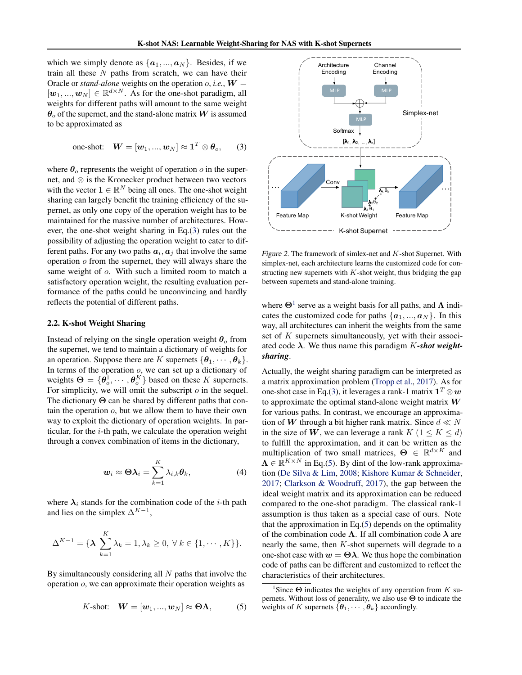<span id="page-2-0"></span>which we simply denote as  $\{a_1, ..., a_N\}$ . Besides, if we train all these  $N$  paths from scratch, we can have their Oracle or *stand-alone* weights on the operation  $o$ , *i.e.*,  $W =$  $[w_1, ..., w_N] \in \mathbb{R}^{d \times N}$ . As for the one-shot paradigm, all weights for different paths will amount to the same weight  $\theta_0$  of the supernet, and the stand-alone matrix W is assumed to be approximated as

one-shot: 
$$
W = [w_1, ..., w_N] \approx \mathbf{1}^T \otimes \theta_o,
$$
 (3)

where  $\theta_o$  represents the weight of operation o in the supernet, and ⊗ is the Kronecker product between two vectors with the vector  $\mathbf{1} \in \mathbb{R}^N$  being all ones. The one-shot weight sharing can largely benefit the training efficiency of the supernet, as only one copy of the operation weight has to be maintained for the massive number of architectures. However, the one-shot weight sharing in Eq.(3) rules out the possibility of adjusting the operation weight to cater to different paths. For any two paths  $a_i, a_j$  that involve the same operation o from the supernet, they will always share the same weight of  $o$ . With such a limited room to match a satisfactory operation weight, the resulting evaluation performance of the paths could be unconvincing and hardly reflects the potential of different paths.

#### 2.2. K-shot Weight Sharing

Instead of relying on the single operation weight  $\theta_0$  from the supernet, we tend to maintain a dictionary of weights for an operation. Suppose there are K supernets  $\{\boldsymbol{\theta}_1, \cdots, \boldsymbol{\theta}_k\}.$ In terms of the operation  $o$ , we can set up a dictionary of weights  $\mathbf{\Theta} = \{\mathbf{\theta}_o^1, \cdots, \mathbf{\theta}_o^K\}$  based on these K supernets. For simplicity, we will omit the subscript  $\sigma$  in the sequel. The dictionary Θ can be shared by different paths that contain the operation  $o$ , but we allow them to have their own way to exploit the dictionary of operation weights. In particular, for the  $i$ -th path, we calculate the operation weight through a convex combination of items in the dictionary,

$$
\boldsymbol{w}_i \approx \boldsymbol{\Theta} \boldsymbol{\lambda}_i = \sum_{k=1}^K \lambda_{i,k} \boldsymbol{\theta}_k, \tag{4}
$$

where  $\lambda_i$  stands for the combination code of the *i*-th path and lies on the simplex  $\Delta^{K-1}$ ,

$$
\Delta^{K-1} = \{\lambda | \sum_{k=1}^{K} \lambda_k = 1, \lambda_k \geq 0, \forall k \in \{1, \cdots, K\} \}.
$$

By simultaneously considering all  $N$  paths that involve the operation o, we can approximate their operation weights as

$$
K\text{-shot:} \quad \mathbf{W} = [\mathbf{w}_1, ..., \mathbf{w}_N] \approx \mathbf{\Theta}\mathbf{\Lambda}, \quad (5)
$$



Figure 2. The framework of simlex-net and  $K$ -shot Supernet. With simplex-net, each architecture learns the customized code for constructing new supernets with  $K$ -shot weight, thus bridging the gap between supernets and stand-alone training.

where  $\Theta$ <sup>1</sup> serve as a weight basis for all paths, and  $\Lambda$  indicates the customized code for paths  $\{a_1, ..., a_N\}$ . In this way, all architectures can inherit the weights from the same set of K supernets simultaneously, yet with their associated code λ. We thus name this paradigm K*-shot weightsharing*.

Actually, the weight sharing paradigm can be interpreted as a matrix approximation problem [\(Tropp et al.,](#page-10-0) [2017\)](#page-10-0). As for one-shot case in Eq.(3), it leverages a rank-1 matrix  $\mathbf{1}^T \otimes \boldsymbol{w}$ to approximate the optimal stand-alone weight matrix  $W$ for various paths. In contrast, we encourage an approximation of W through a bit higher rank matrix. Since  $d \ll N$ in the size of W, we can leverage a rank  $K (1 \leq K \leq d)$ to fulfill the approximation, and it can be written as the multiplication of two small matrices,  $\mathbf{\Theta} \in \mathbb{R}^{d \times K}$  and  $\Lambda \in \mathbb{R}^{K \times N}$  in Eq.(5). By dint of the low-rank approximation [\(De Silva & Lim,](#page-9-0) [2008;](#page-9-0) [Kishore Kumar & Schneider,](#page-9-0) [2017;](#page-9-0) [Clarkson & Woodruff,](#page-9-0) [2017\)](#page-9-0), the gap between the ideal weight matrix and its approximation can be reduced compared to the one-shot paradigm. The classical rank-1 assumption is thus taken as a special case of ours. Note that the approximation in Eq.(5) depends on the optimality of the combination code  $\Lambda$ . If all combination code  $\lambda$  are nearly the same, then  $K$ -shot supernets will degrade to a one-shot case with  $w = \Theta \lambda$ . We thus hope the combination code of paths can be different and customized to reflect the characteristics of their architectures.

<sup>&</sup>lt;sup>1</sup>Since  $\Theta$  indicates the weights of any operation from K supernets. Without loss of generality, we also use  $\Theta$  to indicate the weights of K supernets  $\{\boldsymbol{\theta}_1, \cdots, \boldsymbol{\theta}_k\}$  accordingly.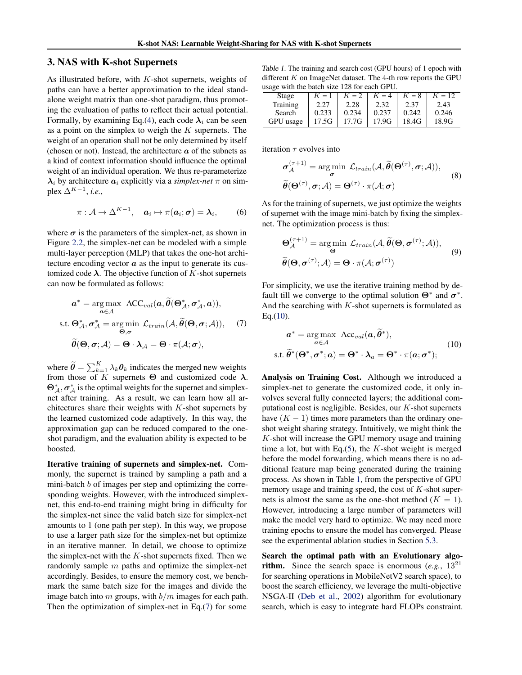#### <span id="page-3-0"></span>3. NAS with K-shot Supernets

As illustrated before, with  $K$ -shot supernets, weights of paths can have a better approximation to the ideal standalone weight matrix than one-shot paradigm, thus promoting the evaluation of paths to reflect their actual potential. Formally, by examining Eq.[\(4\)](#page-2-0), each code  $\lambda_i$  can be seen as a point on the simplex to weigh the  $K$  supernets. The weight of an operation shall not be only determined by itself (chosen or not). Instead, the architecture  $\alpha$  of the subnets as a kind of context information should influence the optimal weight of an individual operation. We thus re-parameterize  $\lambda_i$  by architecture  $a_i$  explicitly via a *simplex-net*  $\pi$  on simplex  $\Delta^{K-1}$ , *i.e.*,

$$
\pi: \mathcal{A} \to \Delta^{K-1}, \quad \mathbf{a}_i \mapsto \pi(\mathbf{a}_i; \mathbf{\sigma}) = \mathbf{\lambda}_i, \qquad (6)
$$

where  $\sigma$  is the parameters of the simplex-net, as shown in Figure [2.2,](#page-2-0) the simplex-net can be modeled with a simple multi-layer perception (MLP) that takes the one-hot architecture encoding vector  $\alpha$  as the input to generate its customized code  $\lambda$ . The objective function of K-shot supernets can now be formulated as follows:

$$
a^* = \underset{\mathbf{a} \in \mathcal{A}}{\arg \max} \text{ ACC}_{val}(a, \widetilde{\theta}(\Theta^*_{\mathcal{A}}, \sigma^*_{\mathcal{A}}, a)),
$$
  
s.t.  $\Theta^*_{\mathcal{A}}, \sigma^*_{\mathcal{A}} = \underset{\Theta, \sigma}{\arg \min} \mathcal{L}_{train}(\mathcal{A}, \widetilde{\theta}(\Theta, \sigma; \mathcal{A})),$  (7)  
 $\widetilde{\theta}(\Theta, \sigma; \mathcal{A}) = \Theta \cdot \lambda_{\mathcal{A}} = \Theta \cdot \pi(\mathcal{A}; \sigma),$ 

where  $\widetilde{\theta} = \sum_{k=1}^{K} \lambda_k \theta_k$  indicates the merged new weights from those of K supernets  $\Theta$  and customized code  $\lambda$ .  $\Theta_{\mathcal{A}}^*$ ,  $\sigma_{\mathcal{A}}^*$  is the optimal weights for the supernet and simplexnet after training. As a result, we can learn how all architectures share their weights with  $K$ -shot supernets by the learned customized code adaptively. In this way, the approximation gap can be reduced compared to the oneshot paradigm, and the evaluation ability is expected to be boosted.

Iterative training of supernets and simplex-net. Commonly, the supernet is trained by sampling a path and a mini-batch b of images per step and optimizing the corresponding weights. However, with the introduced simplexnet, this end-to-end training might bring in difficulty for the simplex-net since the valid batch size for simplex-net amounts to 1 (one path per step). In this way, we propose to use a larger path size for the simplex-net but optimize in an iterative manner. In detail, we choose to optimize the simplex-net with the  $K$ -shot supernets fixed. Then we randomly sample  $m$  paths and optimize the simplex-net accordingly. Besides, to ensure the memory cost, we benchmark the same batch size for the images and divide the image batch into  $m$  groups, with  $b/m$  images for each path. Then the optimization of simplex-net in Eq.(7) for some

Table 1. The training and search cost (GPU hours) of 1 epoch with different  $K$  on ImageNet dataset. The 4-th row reports the GPU usage with the batch size 128 for each GPU.

| Stage     | $K=1$ | $K=2$ | $K = 4$ | $K = 8$ | $K = 12$ |  |  |  |
|-----------|-------|-------|---------|---------|----------|--|--|--|
| Training  | 2.27  | 2.28  | 2.32    | 2.37    | 2.43     |  |  |  |
| Search    | 0.233 | 0.234 | 0.237   | 0.242   | 0.246    |  |  |  |
| GPU usage | 17.5G | 17.7G | 17.9G   | 18.4G   | 18.9G    |  |  |  |

iteration  $\tau$  evolves into

$$
\sigma_{\mathcal{A}}^{(\tau+1)} = \underset{\sigma}{\arg\min} \mathcal{L}_{train}(\mathcal{A}, \widetilde{\theta}(\Theta^{(\tau)}, \sigma; \mathcal{A})),
$$
  

$$
\widetilde{\theta}(\Theta^{(\tau)}, \sigma; \mathcal{A}) = \Theta^{(\tau)} \cdot \pi(\mathcal{A}; \sigma)
$$
 (8)

As for the training of supernets, we just optimize the weights of supernet with the image mini-batch by fixing the simplexnet. The optimization process is thus:

$$
\Theta_{\mathcal{A}}^{(\tau+1)} = \underset{\Theta}{\arg\min} \mathcal{L}_{train}(\mathcal{A}, \widetilde{\theta}(\Theta, \sigma^{(\tau)}; \mathcal{A})),
$$
  

$$
\widetilde{\theta}(\Theta, \sigma^{(\tau)}; \mathcal{A}) = \Theta \cdot \pi(\mathcal{A}; \sigma^{(\tau)})
$$
 (9)

For simplicity, we use the iterative training method by default till we converge to the optimal solution  $\Theta^*$  and  $\sigma^*$ . And the searching with  $K$ -shot supernets is formulated as  $Eq.(10).$ 

$$
\mathbf{a}^* = \underset{\mathbf{a} \in \mathcal{A}}{\arg \max} \ \text{Acc}_{val}(\mathbf{a}, \widetilde{\theta}^*),
$$
  
s.t.  $\widetilde{\theta}^*(\Theta^*, \sigma^*; \mathbf{a}) = \Theta^* \cdot \lambda_a = \Theta^* \cdot \pi(\mathbf{a}; \sigma^*);$  (10)

Analysis on Training Cost. Although we introduced a simplex-net to generate the customized code, it only involves several fully connected layers; the additional computational cost is negligible. Besides, our K-shot supernets have  $(K - 1)$  times more parameters than the ordinary oneshot weight sharing strategy. Intuitively, we might think the  $K$ -shot will increase the GPU memory usage and training time a lot, but with Eq. $(5)$ , the K-shot weight is merged before the model forwarding, which means there is no additional feature map being generated during the training process. As shown in Table 1, from the perspective of GPU memory usage and training speed, the cost of  $K$ -shot supernets is almost the same as the one-shot method  $(K = 1)$ . However, introducing a large number of parameters will make the model very hard to optimize. We may need more training epochs to ensure the model has converged. Please see the experimental ablation studies in Section [5.3.](#page-7-0)

Search the optimal path with an Evolutionary algo**rithm.** Since the search space is enormous (*e.g.*,  $13^{21}$ ) for searching operations in MobileNetV2 search space), to boost the search efficiency, we leverage the multi-objective NSGA-II [\(Deb et al.,](#page-9-0) [2002\)](#page-9-0) algorithm for evolutionary search, which is easy to integrate hard FLOPs constraint.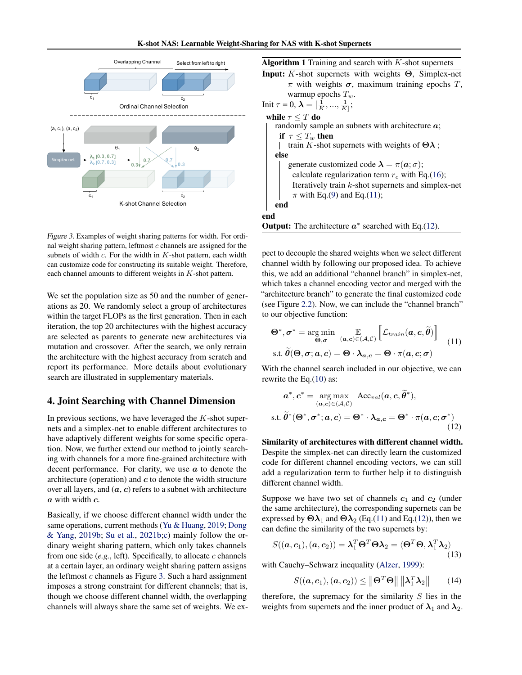<span id="page-4-0"></span>

Figure 3. Examples of weight sharing patterns for width. For ordinal weight sharing pattern, leftmost  $c$  channels are assigned for the subnets of width  $c$ . For the width in  $K$ -shot pattern, each width can customize code for constructing its suitable weight. Therefore, each channel amounts to different weights in  $K$ -shot pattern.

We set the population size as 50 and the number of generations as 20. We randomly select a group of architectures within the target FLOPs as the first generation. Then in each iteration, the top 20 architectures with the highest accuracy are selected as parents to generate new architectures via mutation and crossover. After the search, we only retrain the architecture with the highest accuracy from scratch and report its performance. More details about evolutionary search are illustrated in supplementary materials.

### 4. Joint Searching with Channel Dimension

In previous sections, we have leveraged the  $K$ -shot supernets and a simplex-net to enable different architectures to have adaptively different weights for some specific operation. Now, we further extend our method to jointly searching with channels for a more fine-grained architecture with decent performance. For clarity, we use  $\alpha$  to denote the architecture (operation) and  $c$  to denote the width structure over all layers, and  $(a, c)$  refers to a subnet with architecture a with width c.

Basically, if we choose different channel width under the same operations, current methods [\(Yu & Huang,](#page-10-0) [2019;](#page-10-0) [Dong](#page-9-0) [& Yang,](#page-9-0) [2019b;](#page-9-0) [Su et al.,](#page-10-0) [2021b;c\)](#page-10-0) mainly follow the ordinary weight sharing pattern, which only takes channels from one side  $(e.g., \text{ left})$ . Specifically, to allocate  $c$  channels at a certain layer, an ordinary weight sharing pattern assigns the leftmost  $c$  channels as Figure [3.](#page-3-0) Such a hard assignment imposes a strong constraint for different channels; that is, though we choose different channel width, the overlapping channels will always share the same set of weights. We ex-

| <b>Algorithm 1</b> Training and search with $K$ -shot supernets                      |
|--------------------------------------------------------------------------------------|
| <b>Input:</b> K-shot supernets with weights $\Theta$ , Simplex-net                   |
| $\pi$ with weights $\sigma$ , maximum training epochs T,                             |
| warmup epochs $T_w$ .                                                                |
| Init $\tau = 0$ , $\lambda = [\frac{1}{K}, , \frac{1}{K}]$ ;                         |
| while $\tau \leq T$ do                                                               |
| randomly sample an subnets with architecture $a$ ;                                   |
| if $\tau \leq T_w$ then                                                              |
| train K-shot supernets with weights of $\Theta \lambda$ ;                            |
| else                                                                                 |
| generate customized code $\lambda = \pi(\mathbf{a}; \sigma)$ ;                       |
| calculate regularization term $r_c$ with Eq.(16);                                    |
| Iteratively train $k$ -shot supernets and simplex-net                                |
| $\pi$ with Eq.(9) and Eq.(11);                                                       |
| end                                                                                  |
| end                                                                                  |
| $\Omega$ --4---4. The end-heateness $\mathbb{R}^*$ examples denials $\Gamma$ = (19). |

**Output:** The architecture  $a^*$  searched with Eq.(12).

pect to decouple the shared weights when we select different channel width by following our proposed idea. To achieve this, we add an additional "channel branch" in simplex-net, which takes a channel encoding vector and merged with the "architecture branch" to generate the final customized code (see Figure [2.2\)](#page-2-0). Now, we can include the "channel branch" to our objective function:

$$
\Theta^*, \sigma^* = \underset{\Theta, \sigma}{\arg \min} \mathbb{E}_{(a, c) \in (\mathcal{A}, \mathcal{C})} \left[ \mathcal{L}_{train}(a, c, \widetilde{\theta}) \right] \tag{11}
$$
  
s.t.  $\widetilde{\theta}(\Theta, \sigma; a, c) = \Theta \cdot \lambda_{a, c} = \Theta \cdot \pi(a, c; \sigma)$ 

With the channel search included in our objective, we can rewrite the Eq.[\(10\)](#page-3-0) as:

$$
a^*, c^* = \underset{(a,c) \in (\mathcal{A}, \mathcal{C})}{\arg \max} \text{Acc}_{val}(a, c, \widetilde{\theta}^*),
$$
  
s.t.  $\widetilde{\theta}^*(\Theta^*, \sigma^*; a, c) = \Theta^* \cdot \lambda_{a,c} = \Theta^* \cdot \pi(a, c; \sigma^*)$  (12)

Similarity of architectures with different channel width. Despite the simplex-net can directly learn the customized code for different channel encoding vectors, we can still add a regularization term to further help it to distinguish different channel width.

Suppose we have two set of channels  $c_1$  and  $c_2$  (under the same architecture), the corresponding supernets can be expressed by  $\Theta \lambda_1$  and  $\Theta \lambda_2$  (Eq.(11) and Eq.(12)), then we can define the similarity of the two supernets by:

$$
S((\boldsymbol{a},\boldsymbol{c}_1),(\boldsymbol{a},\boldsymbol{c}_2)) = \boldsymbol{\lambda}_1^T \boldsymbol{\Theta}^T \boldsymbol{\Theta} \boldsymbol{\lambda}_2 = \langle \boldsymbol{\Theta}^T \boldsymbol{\Theta}, \boldsymbol{\lambda}_1^T \boldsymbol{\lambda}_2 \rangle
$$
\n(13)

with Cauchy–Schwarz inequality [\(Alzer,](#page-8-0) [1999\)](#page-8-0):

$$
S((\boldsymbol{a},\boldsymbol{c}_1),(\boldsymbol{a},\boldsymbol{c}_2)) \leq ||\boldsymbol{\Theta}^T \boldsymbol{\Theta}|| \, ||\boldsymbol{\lambda}_1^T \boldsymbol{\lambda}_2|| \qquad (14)
$$

therefore, the supremacy for the similarity  $S$  lies in the weights from supernets and the inner product of  $\lambda_1$  and  $\lambda_2$ .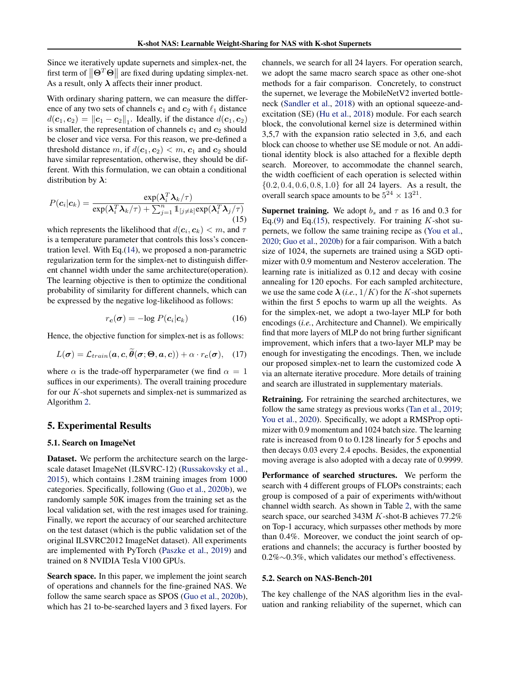<span id="page-5-0"></span>Since we iteratively update supernets and simplex-net, the first term of  $\|\Theta^T \Theta\|$  are fixed during updating simplex-net. As a result, only  $\lambda$  affects their inner product.

With ordinary sharing pattern, we can measure the difference of any two sets of channels  $c_1$  and  $c_2$  with  $\ell_1$  distance  $d(\boldsymbol{c}_1, \boldsymbol{c}_2) = ||\boldsymbol{c}_1 - \boldsymbol{c}_2||_1$ . Ideally, if the distance  $d(\boldsymbol{c}_1, \boldsymbol{c}_2)$ is smaller, the representation of channels  $c_1$  and  $c_2$  should be closer and vice versa. For this reason, we pre-defined a threshold distance m, if  $d(c_1, c_2) < m$ ,  $c_1$  and  $c_2$  should have similar representation, otherwise, they should be different. With this formulation, we can obtain a conditional distribution by  $\lambda$ :

$$
P(c_i|c_k) = \frac{\exp(\lambda_i^T \lambda_k/\tau)}{\exp(\lambda_i^T \lambda_k/\tau) + \sum_{j=1}^n \mathbb{1}_{[j \neq k]} \exp(\lambda_i^T \lambda_j/\tau)}
$$
(15)

which represents the likelihood that  $d(c_i, c_k) < m$ , and  $\tau$ is a temperature parameter that controls this loss's concentration level. With Eq.[\(14\)](#page-4-0), we proposed a non-parametric regularization term for the simplex-net to distinguish different channel width under the same architecture(operation). The learning objective is then to optimize the conditional probability of similarity for different channels, which can be expressed by the negative log-likelihood as follows:

$$
r_{\mathbf{c}}(\boldsymbol{\sigma}) = -\log P(\mathbf{c}_i|\mathbf{c}_k)
$$
 (16)

Hence, the objective function for simplex-net is as follows:

$$
L(\boldsymbol{\sigma}) = \mathcal{L}_{train}(\boldsymbol{a}, \boldsymbol{c}, \tilde{\boldsymbol{\theta}}(\boldsymbol{\sigma}; \boldsymbol{\Theta}, \boldsymbol{a}, \boldsymbol{c})) + \alpha \cdot r_{\boldsymbol{c}}(\boldsymbol{\sigma}), \quad (17)
$$

where  $\alpha$  is the trade-off hyperparameter (we find  $\alpha = 1$ suffices in our experiments). The overall training procedure for our K-shot supernets and simplex-net is summarized as Algorithm 2.

### 5. Experimental Results

#### 5.1. Search on ImageNet

Dataset. We perform the architecture search on the largescale dataset ImageNet (ILSVRC-12) [\(Russakovsky et al.,](#page-10-0) [2015\)](#page-10-0), which contains 1.28M training images from 1000 categories. Specifically, following [\(Guo et al.,](#page-9-0) [2020b\)](#page-9-0), we randomly sample 50K images from the training set as the local validation set, with the rest images used for training. Finally, we report the accuracy of our searched architecture on the test dataset (which is the public validation set of the original ILSVRC2012 ImageNet dataset). All experiments are implemented with PyTorch [\(Paszke et al.,](#page-9-0) [2019\)](#page-9-0) and trained on 8 NVIDIA Tesla V100 GPUs.

Search space. In this paper, we implement the joint search of operations and channels for the fine-grained NAS. We follow the same search space as SPOS [\(Guo et al.,](#page-9-0) [2020b\)](#page-9-0), which has 21 to-be-searched layers and 3 fixed layers. For channels, we search for all 24 layers. For operation search, we adopt the same macro search space as other one-shot methods for a fair comparison. Concretely, to construct the supernet, we leverage the MobileNetV2 inverted bottleneck [\(Sandler et al.,](#page-10-0) [2018\)](#page-10-0) with an optional squeeze-andexcitation (SE) [\(Hu et al.,](#page-9-0) [2018\)](#page-9-0) module. For each search block, the convolutional kernel size is determined within 3,5,7 with the expansion ratio selected in 3,6, and each block can choose to whether use SE module or not. An additional identity block is also attached for a flexible depth search. Moreover, to accommodate the channel search, the width coefficient of each operation is selected within  ${0.2, 0.4, 0.6, 0.8, 1.0}$  for all 24 layers. As a result, the overall search space amounts to be  $5^{24} \times 13^{21}$ .

**Supernet training.** We adopt  $b_s$  and  $\tau$  as 16 and 0.3 for Eq.[\(9\)](#page-3-0) and Eq.(15), respectively. For training  $K$ -shot supernets, we follow the same training recipe as [\(You et al.,](#page-10-0) [2020;](#page-10-0) [Guo et al.,](#page-9-0) [2020b\)](#page-9-0) for a fair comparison. With a batch size of 1024, the supernets are trained using a SGD optimizer with 0.9 momentum and Nesterov acceleration. The learning rate is initialized as 0.12 and decay with cosine annealing for 120 epochs. For each sampled architecture, we use the same code  $\lambda$  (*i.e.*,  $1/K$ ) for the K-shot supernets within the first 5 epochs to warm up all the weights. As for the simplex-net, we adopt a two-layer MLP for both encodings (*i.e.*, Architecture and Channel). We empirically find that more layers of MLP do not bring further significant improvement, which infers that a two-layer MLP may be enough for investigating the encodings. Then, we include our proposed simplex-net to learn the customized code  $\lambda$ via an alternate iterative procedure. More details of training and search are illustrated in supplementary materials.

Retraining. For retraining the searched architectures, we follow the same strategy as previous works [\(Tan et al.,](#page-10-0) [2019;](#page-10-0) [You et al.,](#page-10-0) [2020\)](#page-10-0). Specifically, we adopt a RMSProp optimizer with 0.9 momentum and 1024 batch size. The learning rate is increased from 0 to 0.128 linearly for 5 epochs and then decays 0.03 every 2.4 epochs. Besides, the exponential moving average is also adopted with a decay rate of 0.9999.

Performance of searched structures. We perform the search with 4 different groups of FLOPs constraints; each group is composed of a pair of experiments with/without channel width search. As shown in Table [2,](#page-6-0) with the same search space, our searched 343M K-shot-B achieves 77.2% on Top-1 accuracy, which surpasses other methods by more than 0.4%. Moreover, we conduct the joint search of operations and channels; the accuracy is further boosted by 0.2%∼0.3%, which validates our method's effectiveness.

#### 5.2. Search on NAS-Bench-201

The key challenge of the NAS algorithm lies in the evaluation and ranking reliability of the supernet, which can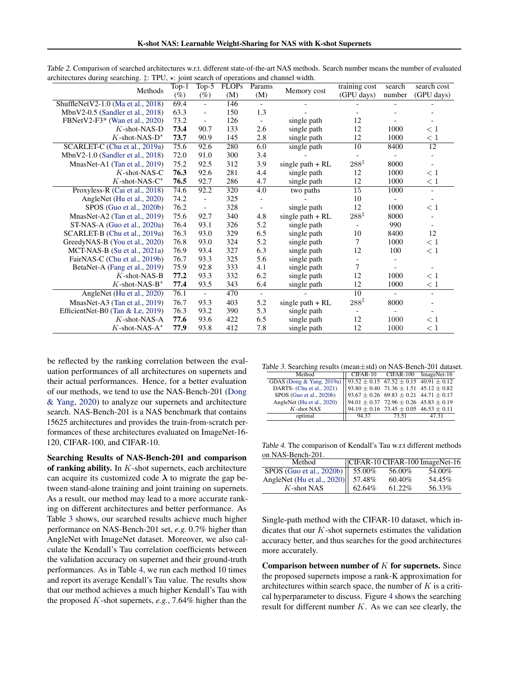| Methods                             | $\overline{\text{Top-1}}$ | Top- $5$                 | <b>FLOPs</b> | Params                   | Memory cost        | training cost    | search | search cost              |
|-------------------------------------|---------------------------|--------------------------|--------------|--------------------------|--------------------|------------------|--------|--------------------------|
|                                     | $(\%)$                    | $(\%)$                   | (M)          | (M)                      |                    | (GPU days)       | number | (GPU days)               |
| ShuffleNetV2-1.0 (Ma et al., 2018)  | 69.4                      | $\overline{\phantom{a}}$ | 146          | $\overline{\phantom{a}}$ |                    |                  |        |                          |
| MbnV2-0.5 (Sandler et al., 2018)    | 63.3                      | $\overline{\phantom{a}}$ | 150          | 1.3                      |                    |                  |        |                          |
| FBNetV2-F3* (Wan et al., 2020)      | 73.2                      | $\overline{\phantom{a}}$ | 126          | $\overline{\phantom{a}}$ | single path        | 12               |        |                          |
| $K$ -shot-NAS-D                     | 73.4                      | 90.7                     | 133          | 2.6                      | single path        | 12               | 1000   | < 1                      |
| $K$ -shot-NAS-D <sup>*</sup>        | 73.7                      | 90.9                     | 145          | 2.8                      | single path        | 12               | 1000   | < 1                      |
| SCARLET-C (Chu et al., 2019a)       | 75.6                      | 92.6                     | 280          | 6.0                      | single path        | 10               | 8400   | 12                       |
| MbnV2-1.0 (Sandler et al., $2018$ ) | 72.0                      | 91.0                     | 300          | 3.4                      |                    |                  |        |                          |
| MnasNet-A1 (Tan et al., 2019)       | 75.2                      | 92.5                     | 312          | 3.9                      | single path $+ RL$ | $288^{\ddagger}$ | 8000   | $\overline{\phantom{a}}$ |
| $K$ -shot-NAS-C                     | 76.3                      | 92.6                     | 281          | 4.4                      | single path        | 12               | 1000   | $\lt 1$                  |
| $K$ -shot-NAS- $C^*$                | 76.5                      | 92.7                     | 286          | 4.7                      | single path        | 12               | 1000   | < 1                      |
| Proxyless-R (Cai et al., 2018)      | 74.6                      | 92.2                     | 320          | 4.0                      | two paths          | $\overline{15}$  | 1000   | $\overline{\phantom{a}}$ |
| AngleNet (Hu et al., 2020)          | 74.2                      | $\overline{\phantom{a}}$ | 325          |                          |                    | 10               |        |                          |
| SPOS (Guo et al., 2020b)            | 76.2                      | $\overline{\phantom{a}}$ | 328          | $\blacksquare$           | single path        | 12               | 1000   | < 1                      |
| MnasNet-A2 (Tan et al., 2019)       | 75.6                      | 92.7                     | 340          | 4.8                      | single path $+ RL$ | $288^{\ddagger}$ | 8000   |                          |
| ST-NAS-A (Guo et al., 2020a)        | 76.4                      | 93.1                     | 326          | 5.2                      | single path        |                  | 990    |                          |
| SCARLET-B (Chu et al., 2019a)       | 76.3                      | 93.0                     | 329          | 6.5                      | single path        | 10               | 8400   | 12                       |
| GreedyNAS-B (You et al., 2020)      | 76.8                      | 93.0                     | 324          | 5.2                      | single path        | 7                | 1000   | < 1                      |
| MCT-NAS-B (Su et al., 2021a)        | 76.9                      | 93.4                     | 327          | 6.3                      | single path        | 12               | 100    | < 1                      |
| FairNAS-C (Chu et al., 2019b)       | 76.7                      | 93.3                     | 325          | 5.6                      | single path        |                  |        |                          |
| BetaNet-A (Fang et al., 2019)       | 75.9                      | 92.8                     | 333          | 4.1                      | single path        | $\overline{7}$   |        |                          |
| $K$ -shot-NAS-B                     | 77.2                      | 93.3                     | 332          | 6.2                      | single path        | 12               | 1000   | < 1                      |
| $K$ -shot-NAS-B <sup>*</sup>        | 77.4                      | 93.5                     | 343          | 6.4                      | single path        | 12               | 1000   | < 1                      |
| AngleNet (Hu et al., 2020)          | 76.1                      | $\equiv$                 | 470          | $\overline{a}$           |                    | 10               |        |                          |
| MnasNet-A3 (Tan et al., 2019)       | 76.7                      | 93.3                     | 403          | 5.2                      | single path $+ RL$ | $288^{\ddagger}$ | 8000   |                          |
| EfficientNet-B0 (Tan $&$ Le, 2019)  | 76.3                      | 93.2                     | 390          | 5.3                      | single path        |                  |        |                          |
| $K$ -shot-NAS-A                     | 77.6                      | 93.6                     | 422          | 6.5                      | single path        | 12               | 1000   | < 1                      |
| $K$ -shot-NAS-A*                    | 77.9                      | 93.8                     | 412          | 7.8                      | single path        | 12               | 1000   | $\leq 1$                 |

<span id="page-6-0"></span>Table 2. Comparison of searched architectures w.r.t. different state-of-the-art NAS methods. Search number means the number of evaluated architectures during searching.  $\ddagger$ : TPU,  $\star$ : joint search of operations and channel width.

be reflected by the ranking correlation between the evaluation performances of all architectures on supernets and their actual performances. Hence, for a better evaluation of our methods, we tend to use the NAS-Bench-201 [\(Dong](#page-9-0) [& Yang,](#page-9-0) [2020\)](#page-9-0) to analyze our supernets and architecture search. NAS-Bench-201 is a NAS benchmark that contains 15625 architectures and provides the train-from-scratch performances of these architectures evaluated on ImageNet-16- 120, CIFAR-100, and CIFAR-10.

Searching Results of NAS-Bench-201 and comparison of ranking ability. In  $K$ -shot supernets, each architecture can acquire its customized code  $\lambda$  to migrate the gap between stand-alone training and joint training on supernets. As a result, our method may lead to a more accurate ranking on different architectures and better performance. As Table 3 shows, our searched results achieve much higher performance on NAS-Bench-201 set, *e.g.* 0.7% higher than AngleNet with ImageNet dataset. Moreover, we also calculate the Kendall's Tau correlation coefficients between the validation accuracy on supernet and their ground-truth performances. As in Table 4, we run each method 10 times and report its average Kendall's Tau value. The results show that our method achieves a much higher Kendall's Tau with the proposed K-shot supernets, *e.g.*, 7.64% higher than the

| Table 3. Searching results (mean±std) on NAS-Bench-201 dataset. |  |  |  |
|-----------------------------------------------------------------|--|--|--|
|-----------------------------------------------------------------|--|--|--|

| Method                                                                                                                                                                                                                                                                                                              |       | CIFAR-10 CIFAR-100 ImageNet-16 |       |
|---------------------------------------------------------------------------------------------------------------------------------------------------------------------------------------------------------------------------------------------------------------------------------------------------------------------|-------|--------------------------------|-------|
|                                                                                                                                                                                                                                                                                                                     |       |                                |       |
|                                                                                                                                                                                                                                                                                                                     |       |                                |       |
|                                                                                                                                                                                                                                                                                                                     |       |                                |       |
|                                                                                                                                                                                                                                                                                                                     |       |                                |       |
| GDAS (Dong & Yang, 2019a) $\begin{array}{ l l l l } \hline 93.52 \pm 0.15 & 67.52 \pm 0.15 & 40.91 \pm 0.12 \\ \hline \text{DARTS- (Chu et al., 2021) } & 93.80 \pm 0.40 & 71.36 \pm 1.51 & 45.12 \pm 0.82 \\ \hline \text{SPOS (Guo et al., 2020b) } & 93.67 \pm 0.26 & 69.83 \pm 0.21 & 44.71 \pm 0.17 \\ \text{$ |       |                                |       |
| optimal                                                                                                                                                                                                                                                                                                             | 94.37 | 73.51                          | 47 31 |

Table 4. The comparison of Kendall's Tau w.r.t different methods on NAS-Bench-201.

| Method                            |                    |        | $ CIFAR-10CIFAR-100 ImageNet-16 $ |
|-----------------------------------|--------------------|--------|-----------------------------------|
| SPOS (Guo et al., 2020b)   55.00% |                    | 56.00% | 54.00%                            |
| AngleNet (Hu et al., 2020) 57.48% |                    | 60.40% | 54.45%                            |
| K-shot NAS                        | $\parallel$ 62.64% | 61.22% | 56.33%                            |

Single-path method with the CIFAR-10 dataset, which indicates that our  $K$ -shot supernets estimates the validation accuracy better, and thus searches for the good architectures more accurately.

Comparison between number of  $K$  for supernets. Since the proposed supernets impose a rank-K approximation for architectures within search space, the number of  $K$  is a critical hyperparameter to discuss. Figure [4](#page-7-0) shows the searching result for different number  $K$ . As we can see clearly, the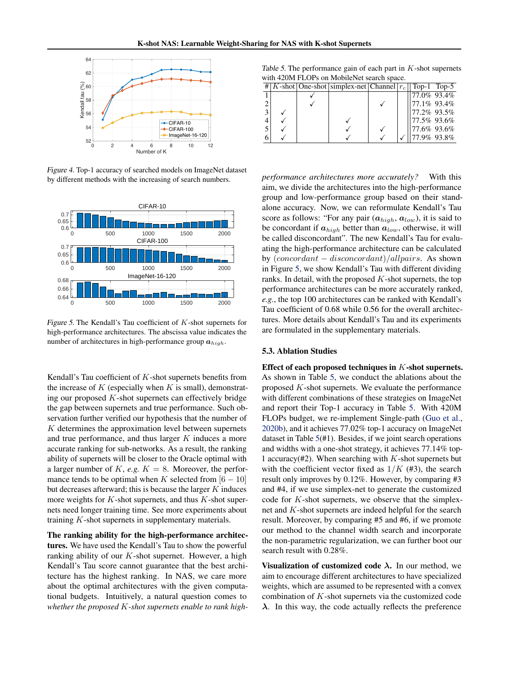<span id="page-7-0"></span>

Figure 4. Top-1 accuracy of searched models on ImageNet dataset by different methods with the increasing of search numbers.



Figure 5. The Kendall's Tau coefficient of  $K$ -shot supernets for high-performance architectures. The abscissa value indicates the number of architectures in high-performance group  $a_{high}$ .

Kendall's Tau coefficient of  $K$ -shot supernets benefits from the increase of  $K$  (especially when  $K$  is small), demonstrating our proposed K-shot supernets can effectively bridge the gap between supernets and true performance. Such observation further verified our hypothesis that the number of  $K$  determines the approximation level between supernets and true performance, and thus larger K induces a more accurate ranking for sub-networks. As a result, the ranking ability of supernets will be closer to the Oracle optimal with a larger number of  $K$ , *e.g.*  $K = 8$ . Moreover, the performance tends to be optimal when K selected from  $[6 - 10]$ but decreases afterward; this is because the larger  $K$  induces more weights for  $K$ -shot supernets, and thus  $K$ -shot supernets need longer training time. See more experiments about training K-shot supernets in supplementary materials.

The ranking ability for the high-performance architectures. We have used the Kendall's Tau to show the powerful ranking ability of our  $K$ -shot supernet. However, a high Kendall's Tau score cannot guarantee that the best architecture has the highest ranking. In NAS, we care more about the optimal architectures with the given computational budgets. Intuitively, a natural question comes to *whether the proposed* K*-shot supernets enable to rank high-*

Table 5. The performance gain of each part in  $K$ -shot supernets with 420M FLOPs on MobileNet search space.

|  | #   K-shot   One-shot   simplex-net   Channel $ r_c $   Top-1 Top-5 |  |              |  |
|--|---------------------------------------------------------------------|--|--------------|--|
|  |                                                                     |  | 177.0% 93.4% |  |
|  |                                                                     |  | 177.1% 93.4% |  |
|  |                                                                     |  | 177.2% 93.5% |  |
|  |                                                                     |  | 177.5% 93.6% |  |
|  |                                                                     |  | 177.6% 93.6% |  |
|  |                                                                     |  | 77.9% 93.8%  |  |

*performance architectures more accurately?* With this aim, we divide the architectures into the high-performance group and low-performance group based on their standalone accuracy. Now, we can reformulate Kendall's Tau score as follows: "For any pair  $(a_{high}, a_{low})$ , it is said to be concordant if  $a_{high}$  better than  $a_{low}$ , otherwise, it will be called disconcordant". The new Kendall's Tau for evaluating the high-performance architecture can be calculated by  $(concat - discount - discount)/allpairs$ . As shown in Figure 5, we show Kendall's Tau with different dividing ranks. In detail, with the proposed  $K$ -shot supernets, the top performance architectures can be more accurately ranked, *e.g.*, the top 100 architectures can be ranked with Kendall's Tau coefficient of 0.68 while 0.56 for the overall architectures. More details about Kendall's Tau and its experiments are formulated in the supplementary materials.

#### 5.3. Ablation Studies

Effect of each proposed techniques in K-shot supernets. As shown in Table 5, we conduct the ablations about the proposed K-shot supernets. We evaluate the performance with different combinations of these strategies on ImageNet and report their Top-1 accuracy in Table 5. With 420M FLOPs budget, we re-implement Single-path [\(Guo et al.,](#page-9-0) [2020b\)](#page-9-0), and it achieves 77.02% top-1 accuracy on ImageNet dataset in Table 5(#1). Besides, if we joint search operations and widths with a one-shot strategy, it achieves 77.14% top-1 accuracy(#2). When searching with  $K$ -shot supernets but with the coefficient vector fixed as  $1/K$  (#3), the search result only improves by 0.12%. However, by comparing #3 and #4, if we use simplex-net to generate the customized code for  $K$ -shot supernets, we observe that the simplexnet and K-shot supernets are indeed helpful for the search result. Moreover, by comparing #5 and #6, if we promote our method to the channel width search and incorporate the non-parametric regularization, we can further boot our search result with 0.28%.

Visualization of customized code  $\lambda$ . In our method, we aim to encourage different architectures to have specialized weights, which are assumed to be represented with a convex combination of K-shot supernets via the customized code  $\lambda$ . In this way, the code actually reflects the preference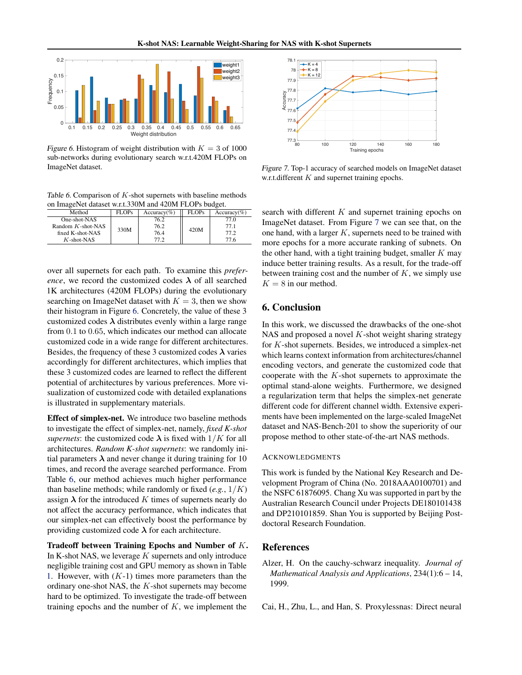<span id="page-8-0"></span>

Figure 6. Histogram of weight distribution with  $K = 3$  of 1000 sub-networks during evolutionary search w.r.t.420M FLOPs on ImageNet dataset.

Table 6. Comparison of  $K$ -shot supernets with baseline methods on ImageNet dataset w.r.t.330M and 420M FLOPs budget.

| Method               | <b>FLOPs</b> | $Accuracy(\%)$ | <b>FLOPs</b> | $Accuracy(\%)$ |
|----------------------|--------------|----------------|--------------|----------------|
| One-shot-NAS         |              | 76.2           |              | 77.0           |
| Random $K$ -shot-NAS | 330M         | 76.2           | 420M         | 77.1           |
| fixed K-shot-NAS     |              | 76.4           |              | 77.2           |
| $K$ -shot-NAS        |              | 77 2           |              | 77.6           |

over all supernets for each path. To examine this *preference*, we record the customized codes  $\lambda$  of all searched 1K architectures (420M FLOPs) during the evolutionary searching on ImageNet dataset with  $K = 3$ , then we show their histogram in Figure 6. Concretely, the value of these 3 customized codes  $\lambda$  distributes evenly within a large range from 0.1 to 0.65, which indicates our method can allocate customized code in a wide range for different architectures. Besides, the frequency of these 3 customized codes  $\lambda$  varies accordingly for different architectures, which implies that these 3 customized codes are learned to reflect the different potential of architectures by various preferences. More visualization of customized code with detailed explanations is illustrated in supplementary materials.

Effect of simplex-net. We introduce two baseline methods to investigate the effect of simplex-net, namely, *fixed K-shot supernets*: the customized code  $\lambda$  is fixed with  $1/K$  for all architectures. *Random K-shot supernets*: we randomly initial parameters  $\lambda$  and never change it during training for 10 times, and record the average searched performance. From Table 6, our method achieves much higher performance than baseline methods; while randomly or fixed  $(e.g., 1/K)$ assign  $\lambda$  for the introduced K times of supernets nearly do not affect the accuracy performance, which indicates that our simplex-net can effectively boost the performance by providing customized code  $\lambda$  for each architecture.

Tradeoff between Training Epochs and Number of K. In K-shot NAS, we leverage  $K$  supernets and only introduce negligible training cost and GPU memory as shown in Table [1.](#page-3-0) However, with  $(K-1)$  times more parameters than the ordinary one-shot NAS, the K-shot supernets may become hard to be optimized. To investigate the trade-off between training epochs and the number of  $K$ , we implement the



Figure 7. Top-1 accuracy of searched models on ImageNet dataset w.r.t.different  $K$  and supernet training epochs.

search with different  $K$  and supernet training epochs on ImageNet dataset. From Figure 7 we can see that, on the one hand, with a larger  $K$ , supernets need to be trained with more epochs for a more accurate ranking of subnets. On the other hand, with a tight training budget, smaller  $K$  may induce better training results. As a result, for the trade-off between training cost and the number of  $K$ , we simply use  $K = 8$  in our method.

### 6. Conclusion

In this work, we discussed the drawbacks of the one-shot NAS and proposed a novel  $K$ -shot weight sharing strategy for K-shot supernets. Besides, we introduced a simplex-net which learns context information from architectures/channel encoding vectors, and generate the customized code that cooperate with the  $K$ -shot supernets to approximate the optimal stand-alone weights. Furthermore, we designed a regularization term that helps the simplex-net generate different code for different channel width. Extensive experiments have been implemented on the large-scaled ImageNet dataset and NAS-Bench-201 to show the superiority of our propose method to other state-of-the-art NAS methods.

#### ACKNOWLEDGMENTS

This work is funded by the National Key Research and Development Program of China (No. 2018AAA0100701) and the NSFC 61876095. Chang Xu was supported in part by the Australian Research Council under Projects DE180101438 and DP210101859. Shan You is supported by Beijing Postdoctoral Research Foundation.

## References

- Alzer, H. On the cauchy-schwarz inequality. *Journal of Mathematical Analysis and Applications*, 234(1):6 – 14, 1999.
- Cai, H., Zhu, L., and Han, S. Proxylessnas: Direct neural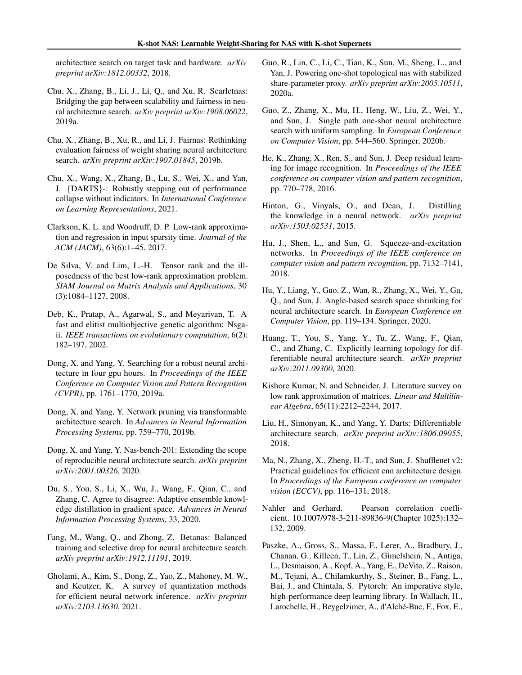<span id="page-9-0"></span>architecture search on target task and hardware. *arXiv preprint arXiv:1812.00332*, 2018.

- Chu, X., Zhang, B., Li, J., Li, Q., and Xu, R. Scarletnas: Bridging the gap between scalability and fairness in neural architecture search. *arXiv preprint arXiv:1908.06022*, 2019a.
- Chu, X., Zhang, B., Xu, R., and Li, J. Fairnas: Rethinking evaluation fairness of weight sharing neural architecture search. *arXiv preprint arXiv:1907.01845*, 2019b.
- Chu, X., Wang, X., Zhang, B., Lu, S., Wei, X., and Yan, J. {DARTS}-: Robustly stepping out of performance collapse without indicators. In *International Conference on Learning Representations*, 2021.
- Clarkson, K. L. and Woodruff, D. P. Low-rank approximation and regression in input sparsity time. *Journal of the ACM (JACM)*, 63(6):1–45, 2017.
- De Silva, V. and Lim, L.-H. Tensor rank and the illposedness of the best low-rank approximation problem. *SIAM Journal on Matrix Analysis and Applications*, 30 (3):1084–1127, 2008.
- Deb, K., Pratap, A., Agarwal, S., and Meyarivan, T. A fast and elitist multiobjective genetic algorithm: Nsgaii. *IEEE transactions on evolutionary computation*, 6(2): 182–197, 2002.
- Dong, X. and Yang, Y. Searching for a robust neural architecture in four gpu hours. In *Proceedings of the IEEE Conference on Computer Vision and Pattern Recognition (CVPR)*, pp. 1761–1770, 2019a.
- Dong, X. and Yang, Y. Network pruning via transformable architecture search. In *Advances in Neural Information Processing Systems*, pp. 759–770, 2019b.
- Dong, X. and Yang, Y. Nas-bench-201: Extending the scope of reproducible neural architecture search. *arXiv preprint arXiv:2001.00326*, 2020.
- Du, S., You, S., Li, X., Wu, J., Wang, F., Qian, C., and Zhang, C. Agree to disagree: Adaptive ensemble knowledge distillation in gradient space. *Advances in Neural Information Processing Systems*, 33, 2020.
- Fang, M., Wang, Q., and Zhong, Z. Betanas: Balanced training and selective drop for neural architecture search. *arXiv preprint arXiv:1912.11191*, 2019.
- Gholami, A., Kim, S., Dong, Z., Yao, Z., Mahoney, M. W., and Keutzer, K. A survey of quantization methods for efficient neural network inference. *arXiv preprint arXiv:2103.13630*, 2021.
- Guo, R., Lin, C., Li, C., Tian, K., Sun, M., Sheng, L., and Yan, J. Powering one-shot topological nas with stabilized share-parameter proxy. *arXiv preprint arXiv:2005.10511*, 2020a.
- Guo, Z., Zhang, X., Mu, H., Heng, W., Liu, Z., Wei, Y., and Sun, J. Single path one-shot neural architecture search with uniform sampling. In *European Conference on Computer Vision*, pp. 544–560. Springer, 2020b.
- He, K., Zhang, X., Ren, S., and Sun, J. Deep residual learning for image recognition. In *Proceedings of the IEEE conference on computer vision and pattern recognition*, pp. 770–778, 2016.
- Hinton, G., Vinyals, O., and Dean, J. Distilling the knowledge in a neural network. *arXiv preprint arXiv:1503.02531*, 2015.
- Hu, J., Shen, L., and Sun, G. Squeeze-and-excitation networks. In *Proceedings of the IEEE conference on computer vision and pattern recognition*, pp. 7132–7141, 2018.
- Hu, Y., Liang, Y., Guo, Z., Wan, R., Zhang, X., Wei, Y., Gu, Q., and Sun, J. Angle-based search space shrinking for neural architecture search. In *European Conference on Computer Vision*, pp. 119–134. Springer, 2020.
- Huang, T., You, S., Yang, Y., Tu, Z., Wang, F., Qian, C., and Zhang, C. Explicitly learning topology for differentiable neural architecture search. *arXiv preprint arXiv:2011.09300*, 2020.
- Kishore Kumar, N. and Schneider, J. Literature survey on low rank approximation of matrices. *Linear and Multilinear Algebra*, 65(11):2212–2244, 2017.
- Liu, H., Simonyan, K., and Yang, Y. Darts: Differentiable architecture search. *arXiv preprint arXiv:1806.09055*, 2018.
- Ma, N., Zhang, X., Zheng, H.-T., and Sun, J. Shufflenet v2: Practical guidelines for efficient cnn architecture design. In *Proceedings of the European conference on computer vision (ECCV)*, pp. 116–131, 2018.
- Nahler and Gerhard. Pearson correlation coefficient. 10.1007/978-3-211-89836-9(Chapter 1025):132– 132, 2009.
- Paszke, A., Gross, S., Massa, F., Lerer, A., Bradbury, J., Chanan, G., Killeen, T., Lin, Z., Gimelshein, N., Antiga, L., Desmaison, A., Kopf, A., Yang, E., DeVito, Z., Raison, M., Tejani, A., Chilamkurthy, S., Steiner, B., Fang, L., Bai, J., and Chintala, S. Pytorch: An imperative style, high-performance deep learning library. In Wallach, H., Larochelle, H., Beygelzimer, A., d'Alché-Buc, F., Fox, E.,